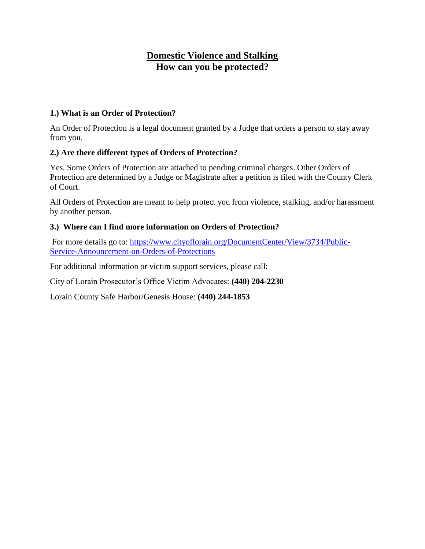## **Domestic Violence and Stalking How can you be protected?**

## **1.) What is an Order of Protection?**

An Order of Protection is a legal document granted by a Judge that orders a person to stay away from you.

## **2.) Are there different types of Orders of Protection?**

Yes. Some Orders of Protection are attached to pending criminal charges. Other Orders of Protection are determined by a Judge or Magistrate after a petition is filed with the County Clerk of Court.

All Orders of Protection are meant to help protect you from violence, stalking, and/or harassment by another person.

## **3.) Where can I find more information on Orders of Protection?**

For more details go to: [https://www.cityoflorain.org/DocumentCenter/View/3734/Public-](https://www.cityoflorain.org/DocumentCenter/View/3734/Public-Service-Announcement-on-Orders-of-Protections)[Service-Announcement-on-Orders-of-Protections](https://www.cityoflorain.org/DocumentCenter/View/3734/Public-Service-Announcement-on-Orders-of-Protections)

For additional information or victim support services, please call:

City of Lorain Prosecutor's Office Victim Advocates: **(440) 204-2230**

Lorain County Safe Harbor/Genesis House: **(440) 244-1853**